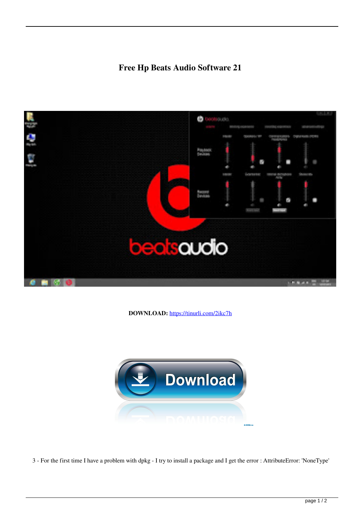## **Free Hp Beats Audio Software 21**



**DOWNLOAD:** <https://tinurli.com/2ikc7h>



3 - For the first time I have a problem with dpkg - I try to install a package and I get the error : AttributeError: 'NoneType'